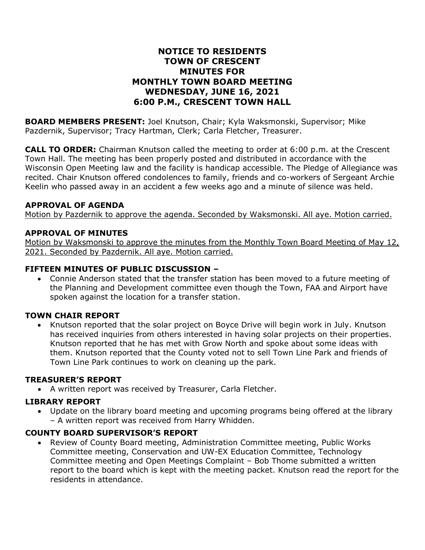### **NOTICE TO RESIDENTS TOWN OF CRESCENT MINUTES FOR MONTHLY TOWN BOARD MEETING WEDNESDAY, JUNE 16, 2021 6:00 P.M., CRESCENT TOWN HALL**

**BOARD MEMBERS PRESENT:** Joel Knutson, Chair; Kyla Waksmonski, Supervisor; Mike Pazdernik, Supervisor; Tracy Hartman, Clerk; Carla Fletcher, Treasurer.

**CALL TO ORDER:** Chairman Knutson called the meeting to order at 6:00 p.m. at the Crescent Town Hall. The meeting has been properly posted and distributed in accordance with the Wisconsin Open Meeting law and the facility is handicap accessible. The Pledge of Allegiance was recited. Chair Knutson offered condolences to family, friends and co-workers of Sergeant Archie Keelin who passed away in an accident a few weeks ago and a minute of silence was held.

### **APPROVAL OF AGENDA**

Motion by Pazdernik to approve the agenda. Seconded by Waksmonski. All aye. Motion carried.

### **APPROVAL OF MINUTES**

Motion by Waksmonski to approve the minutes from the Monthly Town Board Meeting of May 12, 2021. Seconded by Pazdernik. All aye. Motion carried.

### **FIFTEEN MINUTES OF PUBLIC DISCUSSION –**

• Connie Anderson stated that the transfer station has been moved to a future meeting of the Planning and Development committee even though the Town, FAA and Airport have spoken against the location for a transfer station.

### **TOWN CHAIR REPORT**

• Knutson reported that the solar project on Boyce Drive will begin work in July. Knutson has received inquiries from others interested in having solar projects on their properties. Knutson reported that he has met with Grow North and spoke about some ideas with them. Knutson reported that the County voted not to sell Town Line Park and friends of Town Line Park continues to work on cleaning up the park.

### **TREASURER'S REPORT**

• A written report was received by Treasurer, Carla Fletcher.

### **LIBRARY REPORT**

• Update on the library board meeting and upcoming programs being offered at the library – A written report was received from Harry Whidden.

### **COUNTY BOARD SUPERVISOR'S REPORT**

• Review of County Board meeting, Administration Committee meeting, Public Works Committee meeting, Conservation and UW-EX Education Committee, Technology Committee meeting and Open Meetings Complaint – Bob Thome submitted a written report to the board which is kept with the meeting packet. Knutson read the report for the residents in attendance.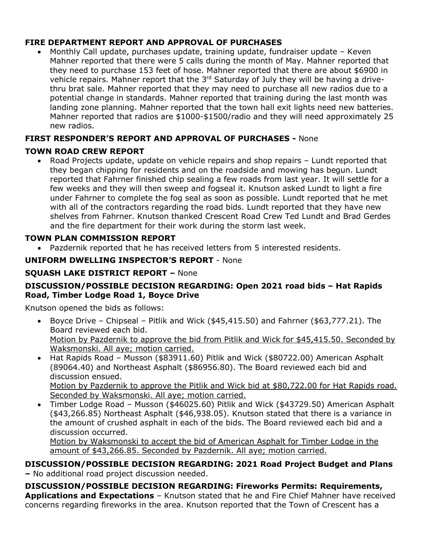## **FIRE DEPARTMENT REPORT AND APPROVAL OF PURCHASES**

• Monthly Call update, purchases update, training update, fundraiser update – Keven Mahner reported that there were 5 calls during the month of May. Mahner reported that they need to purchase 153 feet of hose. Mahner reported that there are about \$6900 in vehicle repairs. Mahner report that the 3<sup>rd</sup> Saturday of July they will be having a drivethru brat sale. Mahner reported that they may need to purchase all new radios due to a potential change in standards. Mahner reported that training during the last month was landing zone planning. Mahner reported that the town hall exit lights need new batteries. Mahner reported that radios are \$1000-\$1500/radio and they will need approximately 25 new radios.

# **FIRST RESPONDER'S REPORT AND APPROVAL OF PURCHASES -** None

## **TOWN ROAD CREW REPORT**

• Road Projects update, update on vehicle repairs and shop repairs – Lundt reported that they began chipping for residents and on the roadside and mowing has begun. Lundt reported that Fahrner finished chip sealing a few roads from last year. It will settle for a few weeks and they will then sweep and fogseal it. Knutson asked Lundt to light a fire under Fahrner to complete the fog seal as soon as possible. Lundt reported that he met with all of the contractors regarding the road bids. Lundt reported that they have new shelves from Fahrner. Knutson thanked Crescent Road Crew Ted Lundt and Brad Gerdes and the fire department for their work during the storm last week.

## **TOWN PLAN COMMISSION REPORT**

• Pazdernik reported that he has received letters from 5 interested residents.

## **UNIFORM DWELLING INSPECTOR'S REPORT** - None

# **SQUASH LAKE DISTRICT REPORT –** None

### **DISCUSSION/POSSIBLE DECISION REGARDING: Open 2021 road bids – Hat Rapids Road, Timber Lodge Road 1, Boyce Drive**

Knutson opened the bids as follows:

- Boyce Drive Chipseal Pitlik and Wick (\$45,415.50) and Fahrner (\$63,777.21). The Board reviewed each bid. Motion by Pazdernik to approve the bid from Pitlik and Wick for \$45,415.50. Seconded by Waksmonski. All aye; motion carried.
- Hat Rapids Road Musson (\$83911.60) Pitlik and Wick (\$80722.00) American Asphalt (89064.40) and Northeast Asphalt (\$86956.80). The Board reviewed each bid and discussion ensued. Motion by Pazdernik to approve the Pitlik and Wick bid at \$80,722.00 for Hat Rapids road. Seconded by Waksmonski. All aye; motion carried.
- Timber Lodge Road Musson (\$46025.60) Pitlik and Wick (\$43729.50) American Asphalt (\$43,266.85) Northeast Asphalt (\$46,938.05). Knutson stated that there is a variance in the amount of crushed asphalt in each of the bids. The Board reviewed each bid and a discussion occurred.

Motion by Waksmonski to accept the bid of American Asphalt for Timber Lodge in the amount of \$43,266.85. Seconded by Pazdernik. All aye; motion carried.

#### **DISCUSSION/POSSIBLE DECISION REGARDING: 2021 Road Project Budget and Plans –** No additional road project discussion needed.

**DISCUSSION/POSSIBLE DECISION REGARDING: Fireworks Permits: Requirements, Applications and Expectations** – Knutson stated that he and Fire Chief Mahner have received concerns regarding fireworks in the area. Knutson reported that the Town of Crescent has a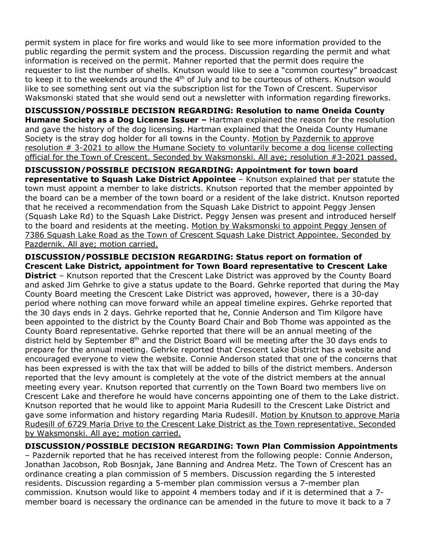permit system in place for fire works and would like to see more information provided to the public regarding the permit system and the process. Discussion regarding the permit and what information is received on the permit. Mahner reported that the permit does require the requester to list the number of shells. Knutson would like to see a "common courtesy" broadcast to keep it to the weekends around the  $4<sup>th</sup>$  of July and to be courteous of others. Knutson would like to see something sent out via the subscription list for the Town of Crescent. Supervisor Waksmonski stated that she would send out a newsletter with information regarding fireworks.

**DISCUSSION/POSSIBLE DECISION REGARDING: Resolution to name Oneida County Humane Society as a Dog License Issuer –** Hartman explained the reason for the resolution and gave the history of the dog licensing. Hartman explained that the Oneida County Humane Society is the stray dog holder for all towns in the County. Motion by Pazdernik to approve resolution # 3-2021 to allow the Humane Society to voluntarily become a dog license collecting official for the Town of Crescent. Seconded by Waksmonski. All aye; resolution #3-2021 passed.

**DISCUSSION/POSSIBLE DECISION REGARDING: Appointment for town board representative to Squash Lake District Appointee** – Knutson explained that per statute the town must appoint a member to lake districts. Knutson reported that the member appointed by the board can be a member of the town board or a resident of the lake district. Knutson reported that he received a recommendation from the Squash Lake District to appoint Peggy Jensen (Squash Lake Rd) to the Squash Lake District. Peggy Jensen was present and introduced herself to the board and residents at the meeting. Motion by Waksmonski to appoint Peggy Jensen of 7386 Squash Lake Road as the Town of Crescent Squash Lake District Appointee. Seconded by Pazdernik. All aye; motion carried.

**DISCUSSION/POSSIBLE DECISION REGARDING: Status report on formation of Crescent Lake District, appointment for Town Board representative to Crescent Lake District** – Knutson reported that the Crescent Lake District was approved by the County Board and asked Jim Gehrke to give a status update to the Board. Gehrke reported that during the May

County Board meeting the Crescent Lake District was approved, however, there is a 30-day period where nothing can move forward while an appeal timeline expires. Gehrke reported that the 30 days ends in 2 days. Gehrke reported that he, Connie Anderson and Tim Kilgore have been appointed to the district by the County Board Chair and Bob Thome was appointed as the County Board representative. Gehrke reported that there will be an annual meeting of the district held by September  $8<sup>th</sup>$  and the District Board will be meeting after the 30 days ends to prepare for the annual meeting. Gehrke reported that Crescent Lake District has a website and encouraged everyone to view the website. Connie Anderson stated that one of the concerns that has been expressed is with the tax that will be added to bills of the district members. Anderson reported that the levy amount is completely at the vote of the district members at the annual meeting every year. Knutson reported that currently on the Town Board two members live on Crescent Lake and therefore he would have concerns appointing one of them to the Lake district. Knutson reported that he would like to appoint Maria Rudesill to the Crescent Lake District and gave some information and history regarding Maria Rudesill. Motion by Knutson to approve Maria Rudesill of 6729 Maria Drive to the Crescent Lake District as the Town representative. Seconded by Waksmonski. All aye; motion carried.

**DISCUSSION/POSSIBLE DECISION REGARDING: Town Plan Commission Appointments** – Pazdernik reported that he has received interest from the following people: Connie Anderson,

Jonathan Jacobson, Rob Bosnjak, Jane Banning and Andrea Metz. The Town of Crescent has an ordinance creating a plan commission of 5 members. Discussion regarding the 5 interested residents. Discussion regarding a 5-member plan commission versus a 7-member plan commission. Knutson would like to appoint 4 members today and if it is determined that a 7 member board is necessary the ordinance can be amended in the future to move it back to a 7